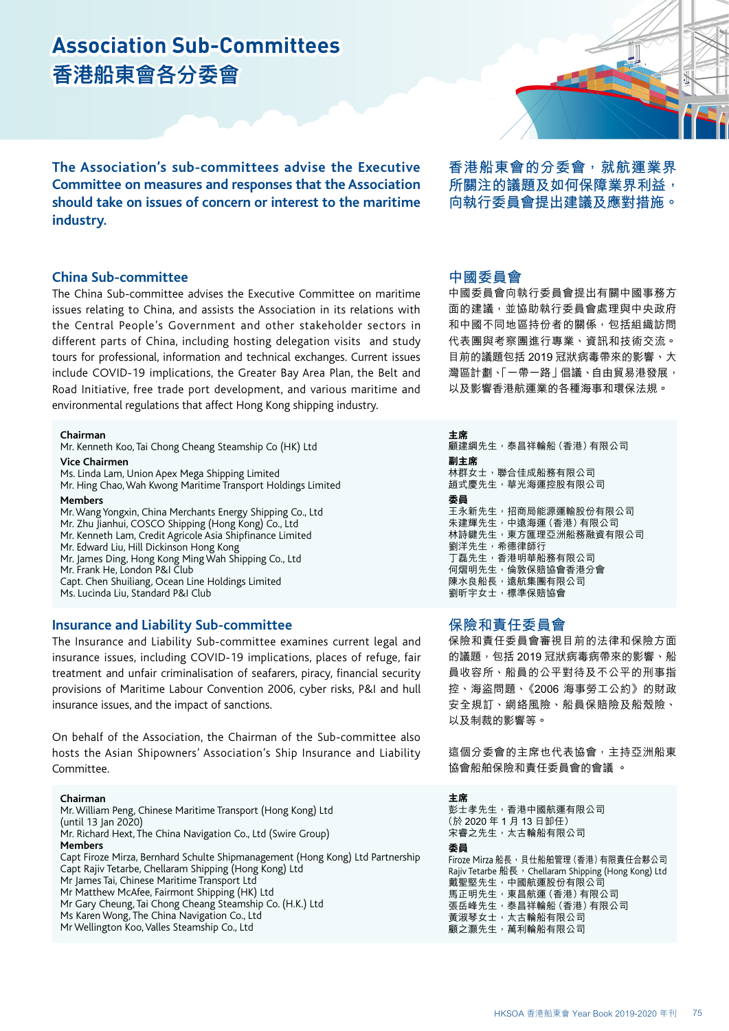# **Association Sub-Committees 香港船東會各分委會**

**The Association's sub-committees advise the Executive Committee on measures and responses that the Association should take on issues of concern or interest to the maritime industry.** 

### **China Sub-committee**

The China Sub-committee advises the Executive Committee on maritime issues relating to China, and assists the Association in its relations with the Central People's Government and other stakeholder sectors in different parts of China, including hosting delegation visits and study tours for professional, information and technical exchanges. Current issues include COVID-19 implications, the Greater Bay Area Plan, the Belt and Road Initiative, free trade port development, and various maritime and environmental regulations that affect Hong Kong shipping industry.

**Chairman**

Mr. Kenneth Koo, Tai Chong Cheang Steamship Co (HK) Ltd **Vice Chairmen** 

Ms. Linda Lam, Union Apex Mega Shipping Limited

Mr. Hing Chao, Wah Kwong Maritime Transport Holdings Limited **Members** 

Mr. Wang Yongxin, China Merchants Energy Shipping Co., Ltd

- Mr. Zhu Jianhui, COSCO Shipping (Hong Kong) Co., Ltd
- Mr. Kenneth Lam, Credit Agricole Asia Shipfinance Limited
- Mr. Edward Liu, Hill Dickinson Hong Kong
- Mr. James Ding, Hong Kong Ming Wah Shipping Co., Ltd
- Mr. Frank He, London P&I Club

Capt. Chen Shuiliang, Ocean Line Holdings Limited

Ms. Lucinda Liu, Standard P&I Club

### **Insurance and Liability Sub-committee**

The Insurance and Liability Sub-committee examines current legal and insurance issues, including COVID-19 implications, places of refuge, fair treatment and unfair criminalisation of seafarers, piracy, financial security provisions of Maritime Labour Convention 2006, cyber risks, P&I and hull insurance issues, and the impact of sanctions.

On behalf of the Association, the Chairman of the Sub-committee also hosts the Asian Shipowners' Association's Ship Insurance and Liability Committee.

#### **Chairman**

Mr. William Peng, Chinese Maritime Transport (Hong Kong) Ltd (until 13 Jan 2020) Mr. Richard Hext, The China Navigation Co., Ltd (Swire Group) **Members** Capt Firoze Mirza, Bernhard Schulte Shipmanagement (Hong Kong) Ltd Partnership Capt Rajiv Tetarbe, Chellaram Shipping (Hong Kong) Ltd Mr James Tai, Chinese Maritime Transport Ltd Mr Matthew McAfee, Fairmont Shipping (HK) Ltd Mr Gary Cheung, Tai Chong Cheang Steamship Co. (H.K.) Ltd Ms Karen Wong, The China Navigation Co., Ltd Mr Wellington Koo, Valles Steamship Co., Ltd

**香港船東會的分委會,就航運業界 所關注的議題及如何保障業界利益, 向執行委員會提出建議及應對措施。**

### **中國委員會**

中國委員會向執行委員會提出有關中國事務方 面的建議,並協助執行委員會處理與中央政府 和中國不同地區持份者的關係,包括組織訪問 代表團與考察團進行專業、資訊和技術交流。 目前的議題包括 2019 冠狀病毒帶來的影響、大 灣區計劃、「一帶一路」倡議、自由貿易港發展, 以及影響香港航運業的各種海事和環保法規。

**主席** 顧建綱先生,泰昌祥輪船(香港)有限公司 **副主席** 林群女士,聯合佳成船務有限公司 趙式慶先生,華光海運控股有限公司 **委員** 王永新先生,招商局能源運輸股份有限公司 朱建輝先生,中遠海運(香港)有限公司 林詩鍵先生,東方匯理亞洲船務融資有限公司 劉洋先生,希德律師行 丁磊先生,香港明華船務有限公司 何熠明先生,倫敦保賠協會香港分會 陳水良船長,遠航集團有限公司 劉昕宇女士,標準保賠協會

## **保險和責任委員會**

保險和責任委員會審視目前的法律和保險方面 的議題,包括 2019 冠狀病毒病帶來的影響、船 員收容所、船員的公平對待及不公平的刑事指 控、海盜問題、《2006 海事勞工公約》的財政 安全規訂、網絡風險、船員保賠險及船殼險、 以及制裁的影響等。

這個分委會的主席也代表協會,主持亞洲船東 協會船舶保險和責任委員會的會議 。

**主席**

彭士孝先生,香港中國航運有限公司 (於 2020 年 1 月 13 日卸任) 宋睿之先生,太古輪船有限公司

#### **委員**

Firoze Mirza 船長, 貝仕船舶管理 (香港) 有限責任合夥公司 Rajiv Tetarbe 船長, Chellaram Shipping (Hong Kong) Ltd 戴聖堅先生,中國航運股份有限公司 馬正明先生,東昌航運(香港)有限公司 張岳峰先生,泰昌祥輪船 (香港) 有限公司 黃淑琴女士,太古輪船有限公司 顧之灝先生,萬利輪船有限公司